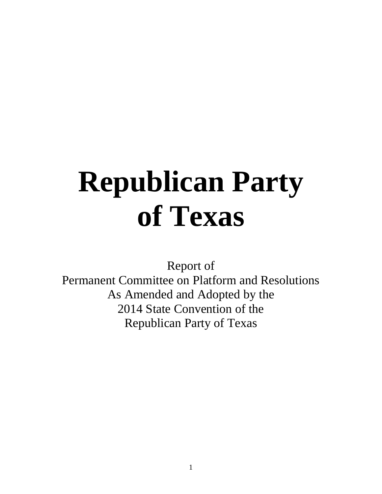# **Republican Party of Texas**

Report of

Permanent Committee on Platform and Resolutions As Amended and Adopted by the 2014 State Convention of the Republican Party of Texas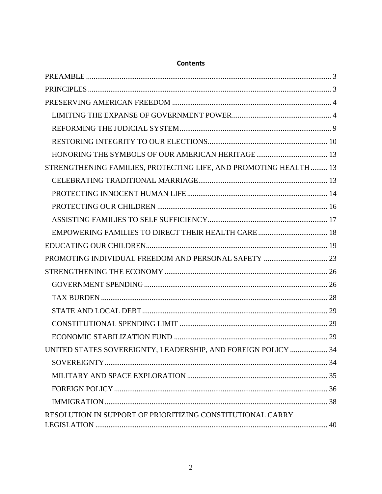| STRENGTHENING FAMILIES, PROTECTING LIFE, AND PROMOTING HEALTH  13 |  |
|-------------------------------------------------------------------|--|
|                                                                   |  |
|                                                                   |  |
|                                                                   |  |
|                                                                   |  |
|                                                                   |  |
|                                                                   |  |
|                                                                   |  |
|                                                                   |  |
|                                                                   |  |
|                                                                   |  |
|                                                                   |  |
|                                                                   |  |
|                                                                   |  |
| UNITED STATES SOVEREIGNTY, LEADERSHIP, AND FOREIGN POLICY  34     |  |
|                                                                   |  |
|                                                                   |  |
|                                                                   |  |
|                                                                   |  |
| RESOLUTION IN SUPPORT OF PRIORITIZING CONSTITUTIONAL CARRY        |  |
|                                                                   |  |

# **Contents**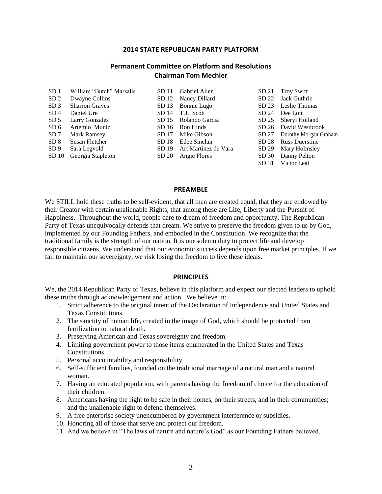#### **2014 STATE REPUBLICAN PARTY PLATFORM**

#### **Permanent Committee on Platform and Resolutions Chairman Tom Mechler**

| SD <sub>1</sub>  | William "Butch" Marsalis | SD 11 | Gabriel Allen        |       | SD 21 Troy Swift            |
|------------------|--------------------------|-------|----------------------|-------|-----------------------------|
| SD <sub>2</sub>  | Dwayne Collins           |       | SD 12 Nancy Dillard  |       | SD 22 Jack Guthrie          |
| SD <sub>3</sub>  | <b>Sharron Graves</b>    |       | SD 13 Bonnie Lugo    |       | SD 23 Leslie Thomas         |
| SD <sub>4</sub>  | Daniel Ure               |       | SD 14 T.J. Scott     |       | SD 24 Dee Lott              |
| SD <sub>5</sub>  | <b>Larry Gonzales</b>    |       | SD 15 Rolando Garcia |       | SD 25 Sheryl Holland        |
| SD6              | Artemio Muniz            |       | SD 16 Ron Hinds      |       | SD 26 David Westbrook       |
| SD 7             | Mark Ramsey              | SD 17 | Mike Gibson          |       | SD 27 Dorothy Morgan Graham |
| SD 8             | Susan Fletcher           | SD 18 | Edee Sinclair        | SD 28 | <b>Russ Duerstine</b>       |
| SD9              | Sara Legvold             | SD 19 | Art Martinez de Vara |       | SD 29 Mary Holmsley         |
| SD <sub>10</sub> | Georgia Stapleton        | SD 20 | Angie Flores         |       | SD 30 Danny Pelton          |
|                  |                          |       |                      |       | SD 31 Victor Leal           |

#### **PREAMBLE**

<span id="page-2-0"></span>We STILL hold these truths to be self-evident, that all men are created equal, that they are endowed by their Creator with certain unalienable Rights, that among these are Life, Liberty and the Pursuit of Happiness. Throughout the world, people dare to dream of freedom and opportunity. The Republican Party of Texas unequivocally defends that dream. We strive to preserve the freedom given to us by God, implemented by our Founding Fathers, and embodied in the Constitution. We recognize that the traditional family is the strength of our nation. It is our solemn duty to protect life and develop responsible citizens. We understand that our economic success depends upon free market principles. If we fail to maintain our sovereignty, we risk losing the freedom to live these ideals.

#### **PRINCIPLES**

<span id="page-2-1"></span>We, the 2014 Republican Party of Texas, believe in this platform and expect our elected leaders to uphold these truths through acknowledgement and action. We believe in:

- 1. Strict adherence to the original intent of the Declaration of Independence and United States and Texas Constitutions.
- 2. The sanctity of human life, created in the image of God, which should be protected from fertilization to natural death.
- 3. Preserving American and Texas sovereignty and freedom.
- 4. Limiting government power to those items enumerated in the United States and Texas Constitutions.
- 5. Personal accountability and responsibility.
- 6. Self-sufficient families, founded on the traditional marriage of a natural man and a natural woman.
- 7. Having an educated population, with parents having the freedom of choice for the education of their children.
- 8. Americans having the right to be safe in their homes, on their streets, and in their communities; and the unalienable right to defend themselves.
- 9. A free enterprise society unencumbered by government interference or subsidies.
- 10. Honoring all of those that serve and protect our freedom.
- 11. And we believe in "The laws of nature and nature's God" as our Founding Fathers believed.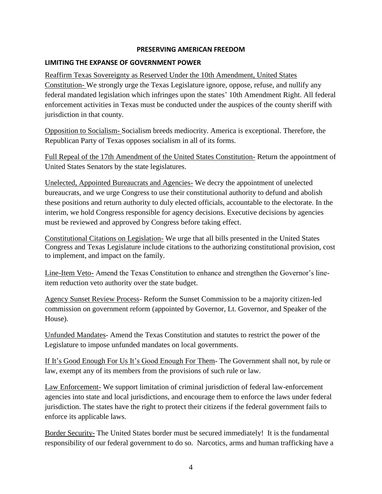#### **PRESERVING AMERICAN FREEDOM**

#### <span id="page-3-1"></span><span id="page-3-0"></span>**LIMITING THE EXPANSE OF GOVERNMENT POWER**

Reaffirm Texas Sovereignty as Reserved Under the 10th Amendment, United States Constitution- We strongly urge the Texas Legislature ignore, oppose, refuse, and nullify any federal mandated legislation which infringes upon the states' 10th Amendment Right. All federal enforcement activities in Texas must be conducted under the auspices of the county sheriff with jurisdiction in that county.

Opposition to Socialism- Socialism breeds mediocrity. America is exceptional. Therefore, the Republican Party of Texas opposes socialism in all of its forms.

Full Repeal of the 17th Amendment of the United States Constitution- Return the appointment of United States Senators by the state legislatures.

Unelected, Appointed Bureaucrats and Agencies- We decry the appointment of unelected bureaucrats, and we urge Congress to use their constitutional authority to defund and abolish these positions and return authority to duly elected officials, accountable to the electorate. In the interim, we hold Congress responsible for agency decisions. Executive decisions by agencies must be reviewed and approved by Congress before taking effect.

Constitutional Citations on Legislation- We urge that all bills presented in the United States Congress and Texas Legislature include citations to the authorizing constitutional provision, cost to implement, and impact on the family.

Line-Item Veto- Amend the Texas Constitution to enhance and strengthen the Governor's lineitem reduction veto authority over the state budget.

Agency Sunset Review Process- Reform the Sunset Commission to be a majority citizen-led commission on government reform (appointed by Governor, Lt. Governor, and Speaker of the House).

Unfunded Mandates- Amend the Texas Constitution and statutes to restrict the power of the Legislature to impose unfunded mandates on local governments.

If It's Good Enough For Us It's Good Enough For Them- The Government shall not, by rule or law, exempt any of its members from the provisions of such rule or law.

Law Enforcement- We support limitation of criminal jurisdiction of federal law-enforcement agencies into state and local jurisdictions, and encourage them to enforce the laws under federal jurisdiction. The states have the right to protect their citizens if the federal government fails to enforce its applicable laws.

Border Security- The United States border must be secured immediately! It is the fundamental responsibility of our federal government to do so. Narcotics, arms and human trafficking have a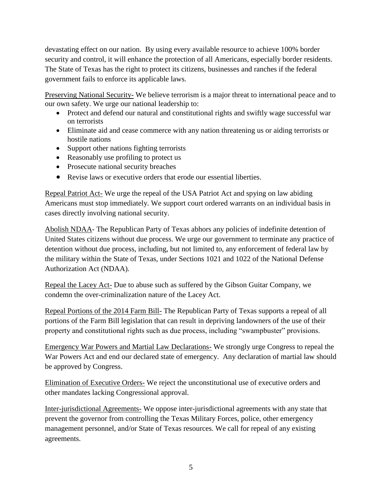devastating effect on our nation. By using every available resource to achieve 100% border security and control, it will enhance the protection of all Americans, especially border residents. The State of Texas has the right to protect its citizens, businesses and ranches if the federal government fails to enforce its applicable laws.

Preserving National Security- We believe terrorism is a major threat to international peace and to our own safety. We urge our national leadership to:

- Protect and defend our natural and constitutional rights and swiftly wage successful war on terrorists
- Eliminate aid and cease commerce with any nation threatening us or aiding terrorists or hostile nations
- Support other nations fighting terrorists
- Reasonably use profiling to protect us
- Prosecute national security breaches
- Revise laws or executive orders that erode our essential liberties.

Repeal Patriot Act- We urge the repeal of the USA Patriot Act and spying on law abiding Americans must stop immediately. We support court ordered warrants on an individual basis in cases directly involving national security.

Abolish NDAA- The Republican Party of Texas abhors any policies of indefinite detention of United States citizens without due process. We urge our government to terminate any practice of detention without due process, including, but not limited to, any enforcement of federal law by the military within the State of Texas, under Sections 1021 and 1022 of the National Defense Authorization Act (NDAA).

Repeal the Lacey Act- Due to abuse such as suffered by the Gibson Guitar Company, we condemn the over-criminalization nature of the Lacey Act.

Repeal Portions of the 2014 Farm Bill- The Republican Party of Texas supports a repeal of all portions of the Farm Bill legislation that can result in depriving landowners of the use of their property and constitutional rights such as due process, including "swampbuster" provisions.

Emergency War Powers and Martial Law Declarations- We strongly urge Congress to repeal the War Powers Act and end our declared state of emergency. Any declaration of martial law should be approved by Congress.

Elimination of Executive Orders- We reject the unconstitutional use of executive orders and other mandates lacking Congressional approval.

Inter-jurisdictional Agreements- We oppose inter-jurisdictional agreements with any state that prevent the governor from controlling the Texas Military Forces, police, other emergency management personnel, and/or State of Texas resources. We call for repeal of any existing agreements.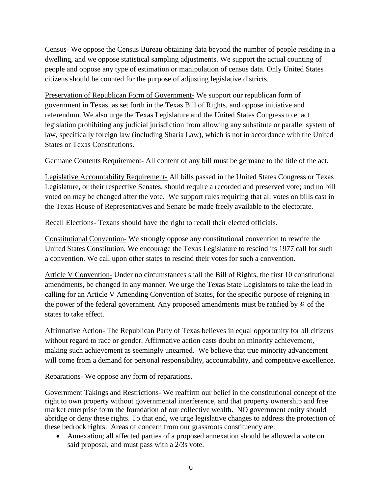Census- We oppose the Census Bureau obtaining data beyond the number of people residing in a dwelling, and we oppose statistical sampling adjustments. We support the actual counting of people and oppose any type of estimation or manipulation of census data. Only United States citizens should be counted for the purpose of adjusting legislative districts.

Preservation of Republican Form of Government- We support our republican form of government in Texas, as set forth in the Texas Bill of Rights, and oppose initiative and referendum. We also urge the Texas Legislature and the United States Congress to enact legislation prohibiting any judicial jurisdiction from allowing any substitute or parallel system of law, specifically foreign law (including Sharia Law), which is not in accordance with the United States or Texas Constitutions.

Germane Contents Requirement- All content of any bill must be germane to the title of the act.

Legislative Accountability Requirement- All bills passed in the United States Congress or Texas Legislature, or their respective Senates, should require a recorded and preserved vote; and no bill voted on may be changed after the vote. We support rules requiring that all votes on bills cast in the Texas House of Representatives and Senate be made freely available to the electorate.

Recall Elections- Texans should have the right to recall their elected officials.

Constitutional Convention- We strongly oppose any constitutional convention to rewrite the United States Constitution. We encourage the Texas Legislature to rescind its 1977 call for such a convention. We call upon other states to rescind their votes for such a convention.

Article V Convention- Under no circumstances shall the Bill of Rights, the first 10 constitutional amendments, be changed in any manner. We urge the Texas State Legislators to take the lead in calling for an Article V Amending Convention of States, for the specific purpose of reigning in the power of the federal government. Any proposed amendments must be ratified by ¾ of the states to take effect.

Affirmative Action- The Republican Party of Texas believes in equal opportunity for all citizens without regard to race or gender. Affirmative action casts doubt on minority achievement, making such achievement as seemingly unearned. We believe that true minority advancement will come from a demand for personal responsibility, accountability, and competitive excellence.

Reparations- We oppose any form of reparations.

Government Takings and Restrictions- We reaffirm our belief in the constitutional concept of the right to own property without governmental interference, and that property ownership and free market enterprise form the foundation of our collective wealth. NO government entity should abridge or deny these rights. To that end, we urge legislative changes to address the protection of these bedrock rights. Areas of concern from our grassroots constituency are:

 Annexation; all affected parties of a proposed annexation should be allowed a vote on said proposal, and must pass with a 2/3s vote.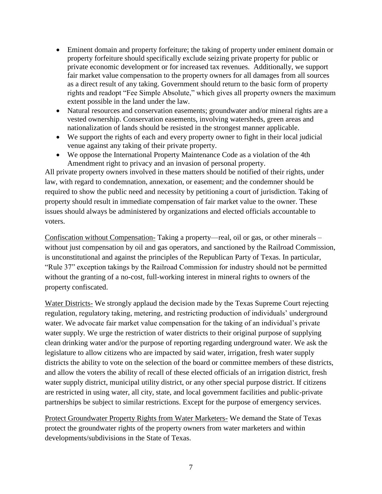- Eminent domain and property forfeiture; the taking of property under eminent domain or property forfeiture should specifically exclude seizing private property for public or private economic development or for increased tax revenues. Additionally, we support fair market value compensation to the property owners for all damages from all sources as a direct result of any taking. Government should return to the basic form of property rights and readopt "Fee Simple Absolute," which gives all property owners the maximum extent possible in the land under the law.
- Natural resources and conservation easements; groundwater and/or mineral rights are a vested ownership. Conservation easements, involving watersheds, green areas and nationalization of lands should be resisted in the strongest manner applicable.
- We support the rights of each and every property owner to fight in their local judicial venue against any taking of their private property.
- We oppose the International Property Maintenance Code as a violation of the 4th Amendment right to privacy and an invasion of personal property.

All private property owners involved in these matters should be notified of their rights, under law, with regard to condemnation, annexation, or easement; and the condemner should be required to show the public need and necessity by petitioning a court of jurisdiction. Taking of property should result in immediate compensation of fair market value to the owner. These issues should always be administered by organizations and elected officials accountable to voters.

Confiscation without Compensation- Taking a property—real, oil or gas, or other minerals – without just compensation by oil and gas operators, and sanctioned by the Railroad Commission, is unconstitutional and against the principles of the Republican Party of Texas. In particular, "Rule 37" exception takings by the Railroad Commission for industry should not be permitted without the granting of a no-cost, full-working interest in mineral rights to owners of the property confiscated.

Water Districts- We strongly applaud the decision made by the Texas Supreme Court rejecting regulation, regulatory taking, metering, and restricting production of individuals' underground water. We advocate fair market value compensation for the taking of an individual's private water supply. We urge the restriction of water districts to their original purpose of supplying clean drinking water and/or the purpose of reporting regarding underground water. We ask the legislature to allow citizens who are impacted by said water, irrigation, fresh water supply districts the ability to vote on the selection of the board or committee members of these districts, and allow the voters the ability of recall of these elected officials of an irrigation district, fresh water supply district, municipal utility district, or any other special purpose district. If citizens are restricted in using water, all city, state, and local government facilities and public-private partnerships be subject to similar restrictions. Except for the purpose of emergency services.

Protect Groundwater Property Rights from Water Marketers- We demand the State of Texas protect the groundwater rights of the property owners from water marketers and within developments/subdivisions in the State of Texas.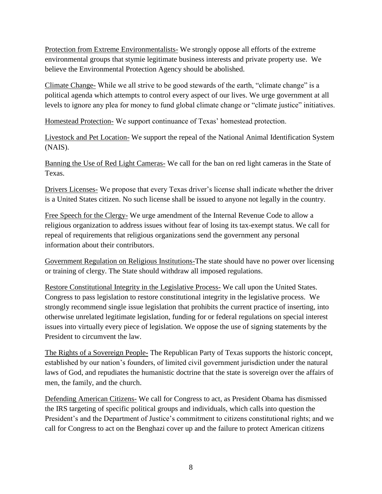Protection from Extreme Environmentalists- We strongly oppose all efforts of the extreme environmental groups that stymie legitimate business interests and private property use. We believe the Environmental Protection Agency should be abolished.

Climate Change- While we all strive to be good stewards of the earth, "climate change" is a political agenda which attempts to control every aspect of our lives. We urge government at all levels to ignore any plea for money to fund global climate change or "climate justice" initiatives.

Homestead Protection- We support continuance of Texas' homestead protection.

Livestock and Pet Location- We support the repeal of the National Animal Identification System (NAIS).

Banning the Use of Red Light Cameras- We call for the ban on red light cameras in the State of Texas.

Drivers Licenses- We propose that every Texas driver's license shall indicate whether the driver is a United States citizen. No such license shall be issued to anyone not legally in the country.

Free Speech for the Clergy- We urge amendment of the Internal Revenue Code to allow a religious organization to address issues without fear of losing its tax-exempt status. We call for repeal of requirements that religious organizations send the government any personal information about their contributors.

Government Regulation on Religious Institutions-The state should have no power over licensing or training of clergy. The State should withdraw all imposed regulations.

Restore Constitutional Integrity in the Legislative Process- We call upon the United States. Congress to pass legislation to restore constitutional integrity in the legislative process. We strongly recommend single issue legislation that prohibits the current practice of inserting, into otherwise unrelated legitimate legislation, funding for or federal regulations on special interest issues into virtually every piece of legislation. We oppose the use of signing statements by the President to circumvent the law.

The Rights of a Sovereign People**-** The Republican Party of Texas supports the historic concept, established by our nation's founders, of limited civil government jurisdiction under the natural laws of God, and repudiates the humanistic doctrine that the state is sovereign over the affairs of men, the family, and the church.

Defending American Citizens- We call for Congress to act, as President Obama has dismissed the IRS targeting of specific political groups and individuals, which calls into question the President's and the Department of Justice's commitment to citizens constitutional rights; and we call for Congress to act on the Benghazi cover up and the failure to protect American citizens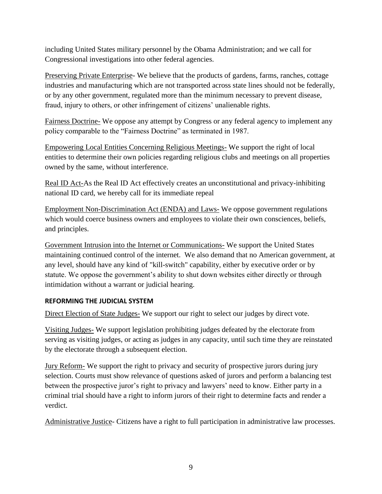including United States military personnel by the Obama Administration; and we call for Congressional investigations into other federal agencies.

Preserving Private Enterprise- We believe that the products of gardens, farms, ranches, cottage industries and manufacturing which are not transported across state lines should not be federally, or by any other government, regulated more than the minimum necessary to prevent disease, fraud, injury to others, or other infringement of citizens' unalienable rights.

Fairness Doctrine- We oppose any attempt by Congress or any federal agency to implement any policy comparable to the "Fairness Doctrine" as terminated in 1987.

Empowering Local Entities Concerning Religious Meetings- We support the right of local entities to determine their own policies regarding religious clubs and meetings on all properties owned by the same, without interference.

Real ID Act-As the Real ID Act effectively creates an unconstitutional and privacy-inhibiting national ID card, we hereby call for its immediate repeal

Employment Non-Discrimination Act (ENDA) and Laws- We oppose government regulations which would coerce business owners and employees to violate their own consciences, beliefs, and principles.

Government Intrusion into the Internet or Communications- We support the United States maintaining continued control of the internet. We also demand that no American government, at any level, should have any kind of "kill-switch" capability, either by executive order or by statute. We oppose the government's ability to shut down websites either directly or through intimidation without a warrant or judicial hearing.

#### <span id="page-8-0"></span>**REFORMING THE JUDICIAL SYSTEM**

Direct Election of State Judges- We support our right to select our judges by direct vote.

Visiting Judges- We support legislation prohibiting judges defeated by the electorate from serving as visiting judges, or acting as judges in any capacity, until such time they are reinstated by the electorate through a subsequent election.

Jury Reform- We support the right to privacy and security of prospective jurors during jury selection. Courts must show relevance of questions asked of jurors and perform a balancing test between the prospective juror's right to privacy and lawyers' need to know. Either party in a criminal trial should have a right to inform jurors of their right to determine facts and render a verdict.

Administrative Justice- Citizens have a right to full participation in administrative law processes.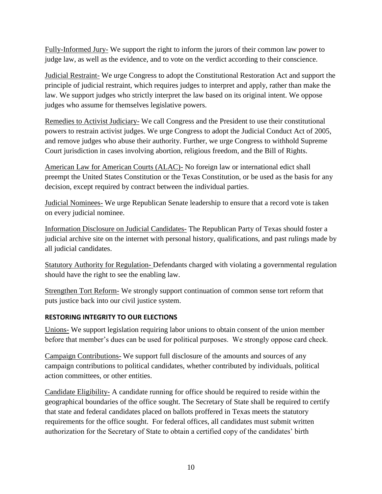Fully-Informed Jury- We support the right to inform the jurors of their common law power to judge law, as well as the evidence, and to vote on the verdict according to their conscience.

Judicial Restraint- We urge Congress to adopt the Constitutional Restoration Act and support the principle of judicial restraint, which requires judges to interpret and apply, rather than make the law. We support judges who strictly interpret the law based on its original intent. We oppose judges who assume for themselves legislative powers.

Remedies to Activist Judiciary- We call Congress and the President to use their constitutional powers to restrain activist judges. We urge Congress to adopt the Judicial Conduct Act of 2005, and remove judges who abuse their authority. Further, we urge Congress to withhold Supreme Court jurisdiction in cases involving abortion, religious freedom, and the Bill of Rights.

American Law for American Courts (ALAC)- No foreign law or international edict shall preempt the United States Constitution or the Texas Constitution, or be used as the basis for any decision, except required by contract between the individual parties.

Judicial Nominees- We urge Republican Senate leadership to ensure that a record vote is taken on every judicial nominee.

Information Disclosure on Judicial Candidates- The Republican Party of Texas should foster a judicial archive site on the internet with personal history, qualifications, and past rulings made by all judicial candidates.

Statutory Authority for Regulation- Defendants charged with violating a governmental regulation should have the right to see the enabling law.

Strengthen Tort Reform- We strongly support continuation of common sense tort reform that puts justice back into our civil justice system.

## <span id="page-9-0"></span>**RESTORING INTEGRITY TO OUR ELECTIONS**

Unions- We support legislation requiring labor unions to obtain consent of the union member before that member's dues can be used for political purposes. We strongly oppose card check.

Campaign Contributions- We support full disclosure of the amounts and sources of any campaign contributions to political candidates, whether contributed by individuals, political action committees, or other entities.

Candidate Eligibility- A candidate running for office should be required to reside within the geographical boundaries of the office sought. The Secretary of State shall be required to certify that state and federal candidates placed on ballots proffered in Texas meets the statutory requirements for the office sought. For federal offices, all candidates must submit written authorization for the Secretary of State to obtain a certified copy of the candidates' birth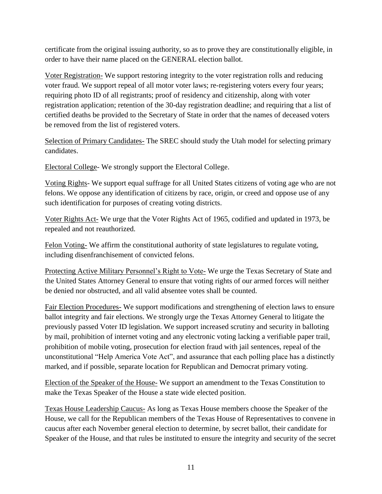certificate from the original issuing authority, so as to prove they are constitutionally eligible, in order to have their name placed on the GENERAL election ballot.

Voter Registration- We support restoring integrity to the voter registration rolls and reducing voter fraud. We support repeal of all motor voter laws; re-registering voters every four years; requiring photo ID of all registrants; proof of residency and citizenship, along with voter registration application; retention of the 30-day registration deadline; and requiring that a list of certified deaths be provided to the Secretary of State in order that the names of deceased voters be removed from the list of registered voters.

Selection of Primary Candidates- The SREC should study the Utah model for selecting primary candidates.

Electoral College- We strongly support the Electoral College.

Voting Rights- We support equal suffrage for all United States citizens of voting age who are not felons. We oppose any identification of citizens by race, origin, or creed and oppose use of any such identification for purposes of creating voting districts.

Voter Rights Act- We urge that the Voter Rights Act of 1965, codified and updated in 1973, be repealed and not reauthorized.

Felon Voting- We affirm the constitutional authority of state legislatures to regulate voting, including disenfranchisement of convicted felons.

Protecting Active Military Personnel's Right to Vote- We urge the Texas Secretary of State and the United States Attorney General to ensure that voting rights of our armed forces will neither be denied nor obstructed, and all valid absentee votes shall be counted.

Fair Election Procedures- We support modifications and strengthening of election laws to ensure ballot integrity and fair elections. We strongly urge the Texas Attorney General to litigate the previously passed Voter ID legislation. We support increased scrutiny and security in balloting by mail, prohibition of internet voting and any electronic voting lacking a verifiable paper trail, prohibition of mobile voting, prosecution for election fraud with jail sentences, repeal of the unconstitutional "Help America Vote Act", and assurance that each polling place has a distinctly marked, and if possible, separate location for Republican and Democrat primary voting.

Election of the Speaker of the House- We support an amendment to the Texas Constitution to make the Texas Speaker of the House a state wide elected position.

Texas House Leadership Caucus- As long as Texas House members choose the Speaker of the House, we call for the Republican members of the Texas House of Representatives to convene in caucus after each November general election to determine, by secret ballot, their candidate for Speaker of the House, and that rules be instituted to ensure the integrity and security of the secret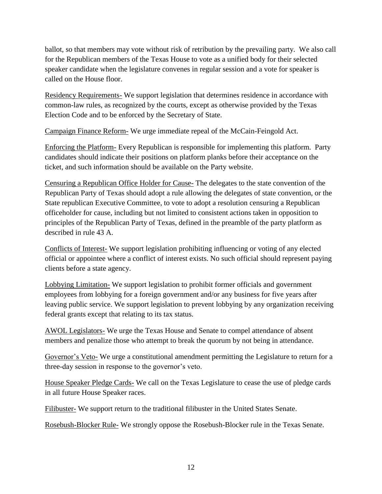ballot, so that members may vote without risk of retribution by the prevailing party. We also call for the Republican members of the Texas House to vote as a unified body for their selected speaker candidate when the legislature convenes in regular session and a vote for speaker is called on the House floor.

Residency Requirements- We support legislation that determines residence in accordance with common-law rules, as recognized by the courts, except as otherwise provided by the Texas Election Code and to be enforced by the Secretary of State.

Campaign Finance Reform- We urge immediate repeal of the McCain-Feingold Act.

Enforcing the Platform- Every Republican is responsible for implementing this platform. Party candidates should indicate their positions on platform planks before their acceptance on the ticket, and such information should be available on the Party website.

Censuring a Republican Office Holder for Cause- The delegates to the state convention of the Republican Party of Texas should adopt a rule allowing the delegates of state convention, or the State republican Executive Committee, to vote to adopt a resolution censuring a Republican officeholder for cause, including but not limited to consistent actions taken in opposition to principles of the Republican Party of Texas, defined in the preamble of the party platform as described in rule 43 A.

Conflicts of Interest- We support legislation prohibiting influencing or voting of any elected official or appointee where a conflict of interest exists. No such official should represent paying clients before a state agency.

Lobbying Limitation- We support legislation to prohibit former officials and government employees from lobbying for a foreign government and/or any business for five years after leaving public service. We support legislation to prevent lobbying by any organization receiving federal grants except that relating to its tax status.

AWOL Legislators- We urge the Texas House and Senate to compel attendance of absent members and penalize those who attempt to break the quorum by not being in attendance.

Governor's Veto- We urge a constitutional amendment permitting the Legislature to return for a three-day session in response to the governor's veto.

House Speaker Pledge Cards- We call on the Texas Legislature to cease the use of pledge cards in all future House Speaker races.

Filibuster- We support return to the traditional filibuster in the United States Senate.

Rosebush-Blocker Rule- We strongly oppose the Rosebush-Blocker rule in the Texas Senate.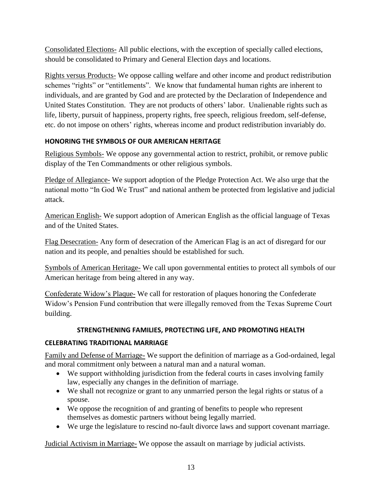Consolidated Elections- All public elections, with the exception of specially called elections, should be consolidated to Primary and General Election days and locations.

Rights versus Products- We oppose calling welfare and other income and product redistribution schemes "rights" or "entitlements". We know that fundamental human rights are inherent to individuals, and are granted by God and are protected by the Declaration of Independence and United States Constitution. They are not products of others' labor. Unalienable rights such as life, liberty, pursuit of happiness, property rights, free speech, religious freedom, self-defense, etc. do not impose on others' rights, whereas income and product redistribution invariably do.

## <span id="page-12-0"></span>**HONORING THE SYMBOLS OF OUR AMERICAN HERITAGE**

Religious Symbols- We oppose any governmental action to restrict, prohibit, or remove public display of the Ten Commandments or other religious symbols.

Pledge of Allegiance- We support adoption of the Pledge Protection Act. We also urge that the national motto "In God We Trust" and national anthem be protected from legislative and judicial attack.

American English- We support adoption of American English as the official language of Texas and of the United States.

Flag Desecration- Any form of desecration of the American Flag is an act of disregard for our nation and its people, and penalties should be established for such.

Symbols of American Heritage- We call upon governmental entities to protect all symbols of our American heritage from being altered in any way.

Confederate Widow's Plaque- We call for restoration of plaques honoring the Confederate Widow's Pension Fund contribution that were illegally removed from the Texas Supreme Court building.

# **STRENGTHENING FAMILIES, PROTECTING LIFE, AND PROMOTING HEALTH**

## <span id="page-12-2"></span><span id="page-12-1"></span>**CELEBRATING TRADITIONAL MARRIAGE**

Family and Defense of Marriage- We support the definition of marriage as a God-ordained, legal and moral commitment only between a natural man and a natural woman.

- We support withholding jurisdiction from the federal courts in cases involving family law, especially any changes in the definition of marriage.
- We shall not recognize or grant to any unmarried person the legal rights or status of a spouse.
- We oppose the recognition of and granting of benefits to people who represent themselves as domestic partners without being legally married.
- We urge the legislature to rescind no-fault divorce laws and support covenant marriage.

Judicial Activism in Marriage- We oppose the assault on marriage by judicial activists.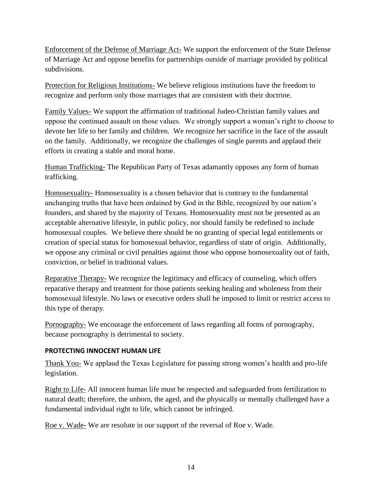Enforcement of the Defense of Marriage Act- We support the enforcement of the State Defense of Marriage Act and oppose benefits for partnerships outside of marriage provided by political subdivisions.

Protection for Religious Institutions- We believe religious institutions have the freedom to recognize and perform only those marriages that are consistent with their doctrine.

Family Values- We support the affirmation of traditional Judeo-Christian family values and oppose the continued assault on those values. We strongly support a woman's right to choose to devote her life to her family and children. We recognize her sacrifice in the face of the assault on the family. Additionally, we recognize the challenges of single parents and applaud their efforts in creating a stable and moral home.

Human Trafficking- The Republican Party of Texas adamantly opposes any form of human trafficking.

Homosexuality- Homosexuality is a chosen behavior that is contrary to the fundamental unchanging truths that have been ordained by God in the Bible, recognized by our nation's founders, and shared by the majority of Texans. Homosexuality must not be presented as an acceptable alternative lifestyle, in public policy, nor should family be redefined to include homosexual couples. We believe there should be no granting of special legal entitlements or creation of special status for homosexual behavior, regardless of state of origin. Additionally, we oppose any criminal or civil penalties against those who oppose homosexuality out of faith, conviction, or belief in traditional values.

Reparative Therapy- We recognize the legitimacy and efficacy of counseling, which offers reparative therapy and treatment for those patients seeking healing and wholeness from their homosexual lifestyle. No laws or executive orders shall be imposed to limit or restrict access to this type of therapy.

Pornography- We encourage the enforcement of laws regarding all forms of pornography, because pornography is detrimental to society.

#### <span id="page-13-0"></span>**PROTECTING INNOCENT HUMAN LIFE**

Thank You- We applaud the Texas Legislature for passing strong women's health and pro-life legislation.

Right to Life- All innocent human life must be respected and safeguarded from fertilization to natural death; therefore, the unborn, the aged, and the physically or mentally challenged have a fundamental individual right to life, which cannot be infringed.

Roe v. Wade- We are resolute in our support of the reversal of Roe v. Wade.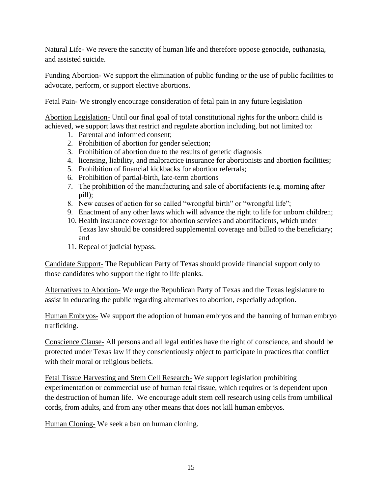Natural Life- We revere the sanctity of human life and therefore oppose genocide, euthanasia, and assisted suicide.

Funding Abortion- We support the elimination of public funding or the use of public facilities to advocate, perform, or support elective abortions.

Fetal Pain- We strongly encourage consideration of fetal pain in any future legislation

Abortion Legislation- Until our final goal of total constitutional rights for the unborn child is achieved, we support laws that restrict and regulate abortion including, but not limited to:

- 1. Parental and informed consent;
- 2. Prohibition of abortion for gender selection;
- 3. Prohibition of abortion due to the results of genetic diagnosis
- 4. licensing, liability, and malpractice insurance for abortionists and abortion facilities;
- 5. Prohibition of financial kickbacks for abortion referrals;
- 6. Prohibition of partial-birth, late-term abortions
- 7. The prohibition of the manufacturing and sale of abortifacients (e.g. morning after pill);
- 8. New causes of action for so called "wrongful birth" or "wrongful life";
- 9. Enactment of any other laws which will advance the right to life for unborn children;
- 10. Health insurance coverage for abortion services and abortifacients, which under Texas law should be considered supplemental coverage and billed to the beneficiary; and
- 11. Repeal of judicial bypass.

Candidate Support- The Republican Party of Texas should provide financial support only to those candidates who support the right to life planks.

Alternatives to Abortion- We urge the Republican Party of Texas and the Texas legislature to assist in educating the public regarding alternatives to abortion, especially adoption.

Human Embryos- We support the adoption of human embryos and the banning of human embryo trafficking.

Conscience Clause- All persons and all legal entities have the right of conscience, and should be protected under Texas law if they conscientiously object to participate in practices that conflict with their moral or religious beliefs.

Fetal Tissue Harvesting and Stem Cell Research- We support legislation prohibiting experimentation or commercial use of human fetal tissue, which requires or is dependent upon the destruction of human life. We encourage adult stem cell research using cells from umbilical cords, from adults, and from any other means that does not kill human embryos.

Human Cloning- We seek a ban on human cloning.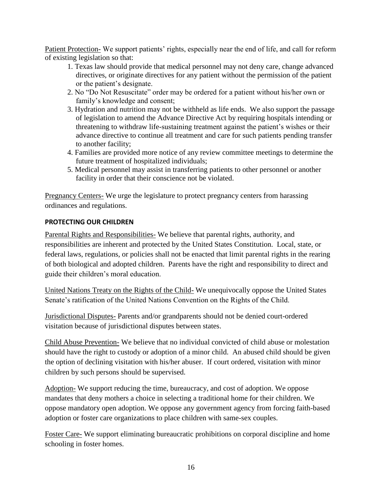Patient Protection- We support patients' rights, especially near the end of life, and call for reform of existing legislation so that:

- 1. Texas law should provide that medical personnel may not deny care, change advanced directives, or originate directives for any patient without the permission of the patient or the patient's designate.
- 2. No "Do Not Resuscitate" order may be ordered for a patient without his/her own or family's knowledge and consent;
- 3. Hydration and nutrition may not be withheld as life ends. We also support the passage of legislation to amend the Advance Directive Act by requiring hospitals intending or threatening to withdraw life-sustaining treatment against the patient's wishes or their advance directive to continue all treatment and care for such patients pending transfer to another facility;
- 4. Families are provided more notice of any review committee meetings to determine the future treatment of hospitalized individuals;
- 5. Medical personnel may assist in transferring patients to other personnel or another facility in order that their conscience not be violated.

Pregnancy Centers- We urge the legislature to protect pregnancy centers from harassing ordinances and regulations.

## <span id="page-15-0"></span>**PROTECTING OUR CHILDREN**

Parental Rights and Responsibilities- We believe that parental rights, authority, and responsibilities are inherent and protected by the United States Constitution. Local, state, or federal laws, regulations, or policies shall not be enacted that limit parental rights in the rearing of both biological and adopted children. Parents have the right and responsibility to direct and guide their children's moral education.

United Nations Treaty on the Rights of the Child- We unequivocally oppose the United States Senate's ratification of the United Nations Convention on the Rights of the Child.

Jurisdictional Disputes- Parents and/or grandparents should not be denied court-ordered visitation because of jurisdictional disputes between states.

Child Abuse Prevention- We believe that no individual convicted of child abuse or molestation should have the right to custody or adoption of a minor child. An abused child should be given the option of declining visitation with his/her abuser. If court ordered, visitation with minor children by such persons should be supervised.

Adoption- We support reducing the time, bureaucracy, and cost of adoption. We oppose mandates that deny mothers a choice in selecting a traditional home for their children. We oppose mandatory open adoption. We oppose any government agency from forcing faith-based adoption or foster care organizations to place children with same-sex couples.

Foster Care- We support eliminating bureaucratic prohibitions on corporal discipline and home schooling in foster homes.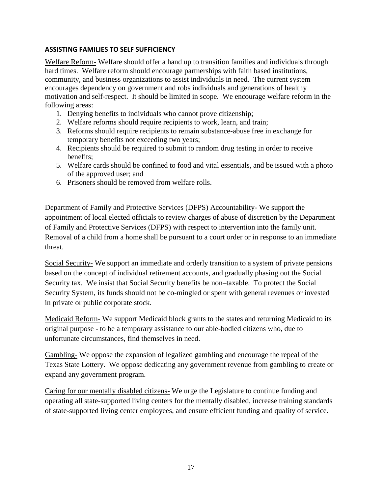#### <span id="page-16-0"></span>**ASSISTING FAMILIES TO SELF SUFFICIENCY**

Welfare Reform- Welfare should offer a hand up to transition families and individuals through hard times. Welfare reform should encourage partnerships with faith based institutions, community, and business organizations to assist individuals in need. The current system encourages dependency on government and robs individuals and generations of healthy motivation and self-respect. It should be limited in scope. We encourage welfare reform in the following areas:

- 1. Denying benefits to individuals who cannot prove citizenship;
- 2. Welfare reforms should require recipients to work, learn, and train;
- 3. Reforms should require recipients to remain substance-abuse free in exchange for temporary benefits not exceeding two years;
- 4. Recipients should be required to submit to random drug testing in order to receive benefits;
- 5. Welfare cards should be confined to food and vital essentials, and be issued with a photo of the approved user; and
- 6. Prisoners should be removed from welfare rolls.

Department of Family and Protective Services (DFPS) Accountability- We support the appointment of local elected officials to review charges of abuse of discretion by the Department of Family and Protective Services (DFPS) with respect to intervention into the family unit. Removal of a child from a home shall be pursuant to a court order or in response to an immediate threat.

Social Security- We support an immediate and orderly transition to a system of private pensions based on the concept of individual retirement accounts, and gradually phasing out the Social Security tax. We insist that Social Security benefits be non–taxable. To protect the Social Security System, its funds should not be co-mingled or spent with general revenues or invested in private or public corporate stock.

Medicaid Reform- We support Medicaid block grants to the states and returning Medicaid to its original purpose - to be a temporary assistance to our able-bodied citizens who, due to unfortunate circumstances, find themselves in need.

Gambling- We oppose the expansion of legalized gambling and encourage the repeal of the Texas State Lottery. We oppose dedicating any government revenue from gambling to create or expand any government program.

Caring for our mentally disabled citizens- We urge the Legislature to continue funding and operating all state-supported living centers for the mentally disabled, increase training standards of state-supported living center employees, and ensure efficient funding and quality of service.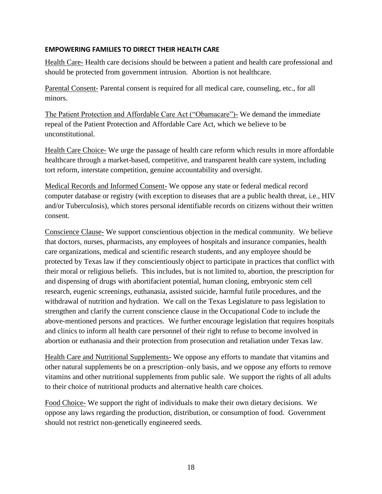#### <span id="page-17-0"></span>**EMPOWERING FAMILIES TO DIRECT THEIR HEALTH CARE**

Health Care- Health care decisions should be between a patient and health care professional and should be protected from government intrusion. Abortion is not healthcare.

Parental Consent- Parental consent is required for all medical care, counseling, etc., for all minors.

The Patient Protection and Affordable Care Act ("Obamacare")- We demand the immediate repeal of the Patient Protection and Affordable Care Act, which we believe to be unconstitutional.

Health Care Choice- We urge the passage of health care reform which results in more affordable healthcare through a market-based, competitive, and transparent health care system, including tort reform, interstate competition, genuine accountability and oversight.

Medical Records and Informed Consent- We oppose any state or federal medical record computer database or registry (with exception to diseases that are a public health threat, i.e., HIV and/or Tuberculosis), which stores personal identifiable records on citizens without their written consent.

Conscience Clause- We support conscientious objection in the medical community. We believe that doctors, nurses, pharmacists, any employees of hospitals and insurance companies, health care organizations, medical and scientific research students, and any employee should be protected by Texas law if they conscientiously object to participate in practices that conflict with their moral or religious beliefs. This includes, but is not limited to, abortion, the prescription for and dispensing of drugs with abortifacient potential, human cloning, embryonic stem cell research, eugenic screenings, euthanasia, assisted suicide, harmful futile procedures, and the withdrawal of nutrition and hydration. We call on the Texas Legislature to pass legislation to strengthen and clarify the current conscience clause in the Occupational Code to include the above-mentioned persons and practices. We further encourage legislation that requires hospitals and clinics to inform all health care personnel of their right to refuse to become involved in abortion or euthanasia and their protection from prosecution and retaliation under Texas law.

Health Care and Nutritional Supplements- We oppose any efforts to mandate that vitamins and other natural supplements be on a prescription–only basis, and we oppose any efforts to remove vitamins and other nutritional supplements from public sale. We support the rights of all adults to their choice of nutritional products and alternative health care choices.

Food Choice- We support the right of individuals to make their own dietary decisions. We oppose any laws regarding the production, distribution, or consumption of food. Government should not restrict non-genetically engineered seeds.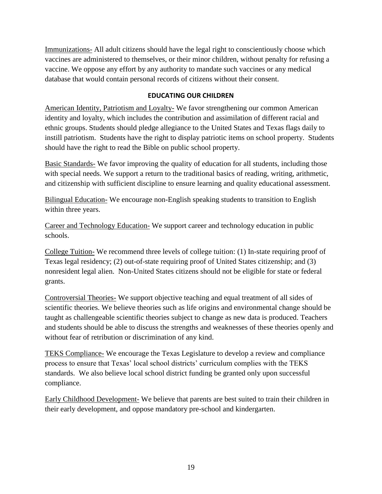Immunizations- All adult citizens should have the legal right to conscientiously choose which vaccines are administered to themselves, or their minor children, without penalty for refusing a vaccine. We oppose any effort by any authority to mandate such vaccines or any medical database that would contain personal records of citizens without their consent.

#### **EDUCATING OUR CHILDREN**

<span id="page-18-0"></span>American Identity, Patriotism and Loyalty- We favor strengthening our common American identity and loyalty, which includes the contribution and assimilation of different racial and ethnic groups. Students should pledge allegiance to the United States and Texas flags daily to instill patriotism. Students have the right to display patriotic items on school property. Students should have the right to read the Bible on public school property.

Basic Standards- We favor improving the quality of education for all students, including those with special needs. We support a return to the traditional basics of reading, writing, arithmetic, and citizenship with sufficient discipline to ensure learning and quality educational assessment.

Bilingual Education- We encourage non-English speaking students to transition to English within three years.

Career and Technology Education- We support career and technology education in public schools.

College Tuition- We recommend three levels of college tuition: (1) In-state requiring proof of Texas legal residency; (2) out-of-state requiring proof of United States citizenship; and (3) nonresident legal alien. Non-United States citizens should not be eligible for state or federal grants.

Controversial Theories- We support objective teaching and equal treatment of all sides of scientific theories. We believe theories such as life origins and environmental change should be taught as challengeable scientific theories subject to change as new data is produced. Teachers and students should be able to discuss the strengths and weaknesses of these theories openly and without fear of retribution or discrimination of any kind.

TEKS Compliance- We encourage the Texas Legislature to develop a review and compliance process to ensure that Texas' local school districts' curriculum complies with the TEKS standards. We also believe local school district funding be granted only upon successful compliance.

Early Childhood Development- We believe that parents are best suited to train their children in their early development, and oppose mandatory pre-school and kindergarten.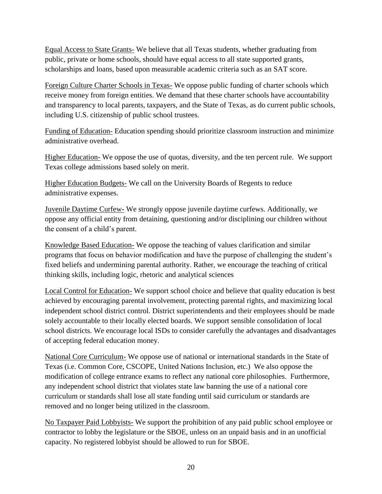Equal Access to State Grants- We believe that all Texas students, whether graduating from public, private or home schools, should have equal access to all state supported grants, scholarships and loans, based upon measurable academic criteria such as an SAT score.

Foreign Culture Charter Schools in Texas- We oppose public funding of charter schools which receive money from foreign entities. We demand that these charter schools have accountability and transparency to local parents, taxpayers, and the State of Texas, as do current public schools, including U.S. citizenship of public school trustees.

Funding of Education- Education spending should prioritize classroom instruction and minimize administrative overhead.

Higher Education- We oppose the use of quotas, diversity, and the ten percent rule. We support Texas college admissions based solely on merit.

Higher Education Budgets- We call on the University Boards of Regents to reduce administrative expenses.

Juvenile Daytime Curfew- We strongly oppose juvenile daytime curfews. Additionally, we oppose any official entity from detaining, questioning and/or disciplining our children without the consent of a child's parent.

Knowledge Based Education- We oppose the teaching of values clarification and similar programs that focus on behavior modification and have the purpose of challenging the student's fixed beliefs and undermining parental authority. Rather, we encourage the teaching of critical thinking skills, including logic, rhetoric and analytical sciences

Local Control for Education- We support school choice and believe that quality education is best achieved by encouraging parental involvement, protecting parental rights, and maximizing local independent school district control. District superintendents and their employees should be made solely accountable to their locally elected boards. We support sensible consolidation of local school districts. We encourage local ISDs to consider carefully the advantages and disadvantages of accepting federal education money.

National Core Curriculum- We oppose use of national or international standards in the State of Texas (i.e. Common Core, CSCOPE, United Nations Inclusion, etc.) We also oppose the modification of college entrance exams to reflect any national core philosophies. Furthermore, any independent school district that violates state law banning the use of a national core curriculum or standards shall lose all state funding until said curriculum or standards are removed and no longer being utilized in the classroom.

No Taxpayer Paid Lobbyists- We support the prohibition of any paid public school employee or contractor to lobby the legislature or the SBOE, unless on an unpaid basis and in an unofficial capacity. No registered lobbyist should be allowed to run for SBOE.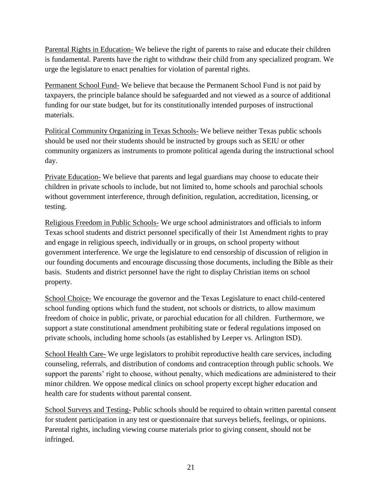Parental Rights in Education- We believe the right of parents to raise and educate their children is fundamental. Parents have the right to withdraw their child from any specialized program. We urge the legislature to enact penalties for violation of parental rights.

Permanent School Fund- We believe that because the Permanent School Fund is not paid by taxpayers, the principle balance should be safeguarded and not viewed as a source of additional funding for our state budget, but for its constitutionally intended purposes of instructional materials.

Political Community Organizing in Texas Schools- We believe neither Texas public schools should be used nor their students should be instructed by groups such as SEIU or other community organizers as instruments to promote political agenda during the instructional school day.

Private Education- We believe that parents and legal guardians may choose to educate their children in private schools to include, but not limited to, home schools and parochial schools without government interference, through definition, regulation, accreditation, licensing, or testing.

Religious Freedom in Public Schools- We urge school administrators and officials to inform Texas school students and district personnel specifically of their 1st Amendment rights to pray and engage in religious speech, individually or in groups, on school property without government interference. We urge the legislature to end censorship of discussion of religion in our founding documents and encourage discussing those documents, including the Bible as their basis. Students and district personnel have the right to display Christian items on school property.

School Choice- We encourage the governor and the Texas Legislature to enact child-centered school funding options which fund the student, not schools or districts, to allow maximum freedom of choice in public, private, or parochial education for all children. Furthermore, we support a state constitutional amendment prohibiting state or federal regulations imposed on private schools, including home schools (as established by Leeper vs. Arlington ISD).

School Health Care- We urge legislators to prohibit reproductive health care services, including counseling, referrals, and distribution of condoms and contraception through public schools. We support the parents' right to choose, without penalty, which medications are administered to their minor children. We oppose medical clinics on school property except higher education and health care for students without parental consent.

School Surveys and Testing- Public schools should be required to obtain written parental consent for student participation in any test or questionnaire that surveys beliefs, feelings, or opinions. Parental rights, including viewing course materials prior to giving consent, should not be infringed.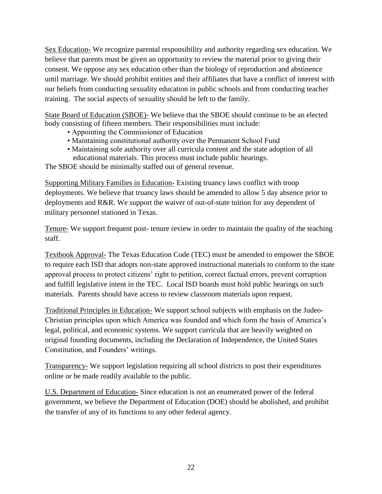Sex Education- We recognize parental responsibility and authority regarding sex education. We believe that parents must be given an opportunity to review the material prior to giving their consent. We oppose any sex education other than the biology of reproduction and abstinence until marriage. We should prohibit entities and their affiliates that have a conflict of interest with our beliefs from conducting sexuality education in public schools and from conducting teacher training. The social aspects of sexuality should be left to the family.

State Board of Education (SBOE)- We believe that the SBOE should continue to be an elected body consisting of fifteen members. Their responsibilities must include:

- Appointing the Commissioner of Education
- Maintaining constitutional authority over the Permanent School Fund
- Maintaining sole authority over all curricula content and the state adoption of all educational materials. This process must include public hearings.

The SBOE should be minimally staffed out of general revenue.

Supporting Military Families in Education- Existing truancy laws conflict with troop deployments. We believe that truancy laws should be amended to allow 5 day absence prior to deployments and R&R. We support the waiver of out-of-state tuition for any dependent of military personnel stationed in Texas.

Tenure- We support frequent post- tenure review in order to maintain the quality of the teaching staff.

Textbook Approval- The Texas Education Code (TEC) must be amended to empower the SBOE to require each ISD that adopts non-state approved instructional materials to conform to the state approval process to protect citizens' right to petition, correct factual errors, prevent corruption and fulfill legislative intent in the TEC. Local ISD boards must hold public hearings on such materials. Parents should have access to review classroom materials upon request.

Traditional Principles in Education- We support school subjects with emphasis on the Judeo-Christian principles upon which America was founded and which form the basis of America's legal, political, and economic systems. We support curricula that are heavily weighted on original founding documents, including the Declaration of Independence, the United States Constitution, and Founders' writings.

Transparency- We support legislation requiring all school districts to post their expenditures online or be made readily available to the public.

U.S. Department of Education- Since education is not an enumerated power of the federal government, we believe the Department of Education (DOE) should be abolished, and prohibit the transfer of any of its functions to any other federal agency.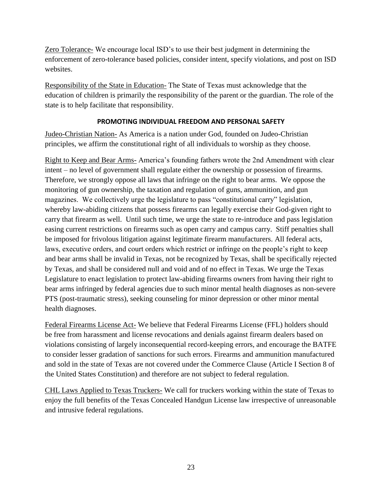Zero Tolerance- We encourage local ISD's to use their best judgment in determining the enforcement of zero-tolerance based policies, consider intent, specify violations, and post on ISD websites.

Responsibility of the State in Education- The State of Texas must acknowledge that the education of children is primarily the responsibility of the parent or the guardian. The role of the state is to help facilitate that responsibility.

#### **PROMOTING INDIVIDUAL FREEDOM AND PERSONAL SAFETY**

<span id="page-22-0"></span>Judeo-Christian Nation- As America is a nation under God, founded on Judeo-Christian principles, we affirm the constitutional right of all individuals to worship as they choose.

Right to Keep and Bear Arms- America's founding fathers wrote the 2nd Amendment with clear intent – no level of government shall regulate either the ownership or possession of firearms. Therefore, we strongly oppose all laws that infringe on the right to bear arms. We oppose the monitoring of gun ownership, the taxation and regulation of guns, ammunition, and gun magazines. We collectively urge the legislature to pass "constitutional carry" legislation, whereby law-abiding citizens that possess firearms can legally exercise their God-given right to carry that firearm as well. Until such time, we urge the state to re-introduce and pass legislation easing current restrictions on firearms such as open carry and campus carry. Stiff penalties shall be imposed for frivolous litigation against legitimate firearm manufacturers. All federal acts, laws, executive orders, and court orders which restrict or infringe on the people's right to keep and bear arms shall be invalid in Texas, not be recognized by Texas, shall be specifically rejected by Texas, and shall be considered null and void and of no effect in Texas. We urge the Texas Legislature to enact legislation to protect law-abiding firearms owners from having their right to bear arms infringed by federal agencies due to such minor mental health diagnoses as non-severe PTS (post-traumatic stress), seeking counseling for minor depression or other minor mental health diagnoses.

Federal Firearms License Act- We believe that Federal Firearms License (FFL) holders should be free from harassment and license revocations and denials against firearm dealers based on violations consisting of largely inconsequential record-keeping errors, and encourage the BATFE to consider lesser gradation of sanctions for such errors. Firearms and ammunition manufactured and sold in the state of Texas are not covered under the Commerce Clause (Article I Section 8 of the United States Constitution) and therefore are not subject to federal regulation.

CHL Laws Applied to Texas Truckers- We call for truckers working within the state of Texas to enjoy the full benefits of the Texas Concealed Handgun License law irrespective of unreasonable and intrusive federal regulations.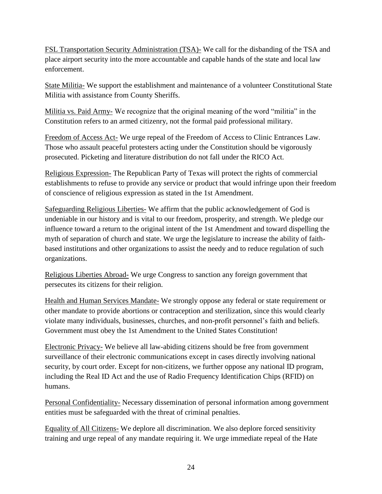FSL Transportation Security Administration (TSA)- We call for the disbanding of the TSA and place airport security into the more accountable and capable hands of the state and local law enforcement.

State Militia- We support the establishment and maintenance of a volunteer Constitutional State Militia with assistance from County Sheriffs.

Militia vs. Paid Army- We recognize that the original meaning of the word "militia" in the Constitution refers to an armed citizenry, not the formal paid professional military.

Freedom of Access Act- We urge repeal of the Freedom of Access to Clinic Entrances Law. Those who assault peaceful protesters acting under the Constitution should be vigorously prosecuted. Picketing and literature distribution do not fall under the RICO Act.

Religious Expression- The Republican Party of Texas will protect the rights of commercial establishments to refuse to provide any service or product that would infringe upon their freedom of conscience of religious expression as stated in the 1st Amendment.

Safeguarding Religious Liberties- We affirm that the public acknowledgement of God is undeniable in our history and is vital to our freedom, prosperity, and strength. We pledge our influence toward a return to the original intent of the 1st Amendment and toward dispelling the myth of separation of church and state. We urge the legislature to increase the ability of faithbased institutions and other organizations to assist the needy and to reduce regulation of such organizations.

Religious Liberties Abroad- We urge Congress to sanction any foreign government that persecutes its citizens for their religion.

Health and Human Services Mandate- We strongly oppose any federal or state requirement or other mandate to provide abortions or contraception and sterilization, since this would clearly violate many individuals, businesses, churches, and non-profit personnel's faith and beliefs. Government must obey the 1st Amendment to the United States Constitution!

Electronic Privacy- We believe all law-abiding citizens should be free from government surveillance of their electronic communications except in cases directly involving national security, by court order. Except for non-citizens, we further oppose any national ID program, including the Real ID Act and the use of Radio Frequency Identification Chips (RFID) on humans.

Personal Confidentiality- Necessary dissemination of personal information among government entities must be safeguarded with the threat of criminal penalties.

Equality of All Citizens- We deplore all discrimination. We also deplore forced sensitivity training and urge repeal of any mandate requiring it. We urge immediate repeal of the Hate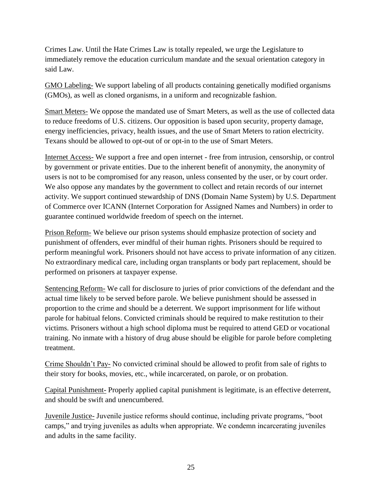Crimes Law. Until the Hate Crimes Law is totally repealed, we urge the Legislature to immediately remove the education curriculum mandate and the sexual orientation category in said Law.

GMO Labeling- We support labeling of all products containing genetically modified organisms (GMOs), as well as cloned organisms, in a uniform and recognizable fashion.

Smart Meters- We oppose the mandated use of Smart Meters, as well as the use of collected data to reduce freedoms of U.S. citizens. Our opposition is based upon security, property damage, energy inefficiencies, privacy, health issues, and the use of Smart Meters to ration electricity. Texans should be allowed to opt-out of or opt-in to the use of Smart Meters.

Internet Access- We support a free and open internet - free from intrusion, censorship, or control by government or private entities. Due to the inherent benefit of anonymity, the anonymity of users is not to be compromised for any reason, unless consented by the user, or by court order. We also oppose any mandates by the government to collect and retain records of our internet activity. We support continued stewardship of DNS (Domain Name System) by U.S. Department of Commerce over ICANN (Internet Corporation for Assigned Names and Numbers) in order to guarantee continued worldwide freedom of speech on the internet.

Prison Reform- We believe our prison systems should emphasize protection of society and punishment of offenders, ever mindful of their human rights. Prisoners should be required to perform meaningful work. Prisoners should not have access to private information of any citizen. No extraordinary medical care, including organ transplants or body part replacement, should be performed on prisoners at taxpayer expense.

Sentencing Reform- We call for disclosure to juries of prior convictions of the defendant and the actual time likely to be served before parole. We believe punishment should be assessed in proportion to the crime and should be a deterrent. We support imprisonment for life without parole for habitual felons. Convicted criminals should be required to make restitution to their victims. Prisoners without a high school diploma must be required to attend GED or vocational training. No inmate with a history of drug abuse should be eligible for parole before completing treatment.

Crime Shouldn't Pay- No convicted criminal should be allowed to profit from sale of rights to their story for books, movies, etc., while incarcerated, on parole, or on probation.

Capital Punishment- Properly applied capital punishment is legitimate, is an effective deterrent, and should be swift and unencumbered.

Juvenile Justice- Juvenile justice reforms should continue, including private programs, "boot camps," and trying juveniles as adults when appropriate. We condemn incarcerating juveniles and adults in the same facility.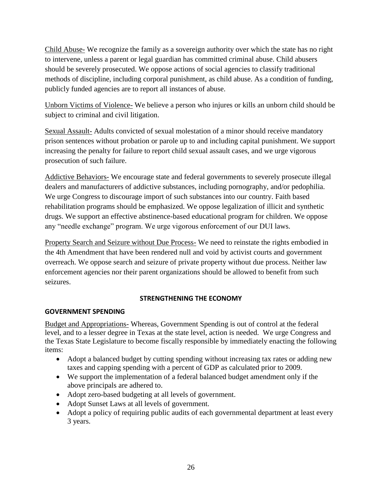Child Abuse- We recognize the family as a sovereign authority over which the state has no right to intervene, unless a parent or legal guardian has committed criminal abuse. Child abusers should be severely prosecuted. We oppose actions of social agencies to classify traditional methods of discipline, including corporal punishment, as child abuse. As a condition of funding, publicly funded agencies are to report all instances of abuse.

Unborn Victims of Violence- We believe a person who injures or kills an unborn child should be subject to criminal and civil litigation.

Sexual Assault- Adults convicted of sexual molestation of a minor should receive mandatory prison sentences without probation or parole up to and including capital punishment. We support increasing the penalty for failure to report child sexual assault cases, and we urge vigorous prosecution of such failure.

Addictive Behaviors- We encourage state and federal governments to severely prosecute illegal dealers and manufacturers of addictive substances, including pornography, and/or pedophilia. We urge Congress to discourage import of such substances into our country. Faith based rehabilitation programs should be emphasized. We oppose legalization of illicit and synthetic drugs. We support an effective abstinence-based educational program for children. We oppose any "needle exchange" program. We urge vigorous enforcement of our DUI laws.

Property Search and Seizure without Due Process- We need to reinstate the rights embodied in the 4th Amendment that have been rendered null and void by activist courts and government overreach. We oppose search and seizure of private property without due process. Neither law enforcement agencies nor their parent organizations should be allowed to benefit from such seizures.

#### **STRENGTHENING THE ECONOMY**

#### <span id="page-25-1"></span><span id="page-25-0"></span>**GOVERNMENT SPENDING**

Budget and Appropriations- Whereas, Government Spending is out of control at the federal level, and to a lesser degree in Texas at the state level, action is needed. We urge Congress and the Texas State Legislature to become fiscally responsible by immediately enacting the following items:

- Adopt a balanced budget by cutting spending without increasing tax rates or adding new taxes and capping spending with a percent of GDP as calculated prior to 2009.
- We support the implementation of a federal balanced budget amendment only if the above principals are adhered to.
- Adopt zero-based budgeting at all levels of government.
- Adopt Sunset Laws at all levels of government.
- Adopt a policy of requiring public audits of each governmental department at least every 3 years.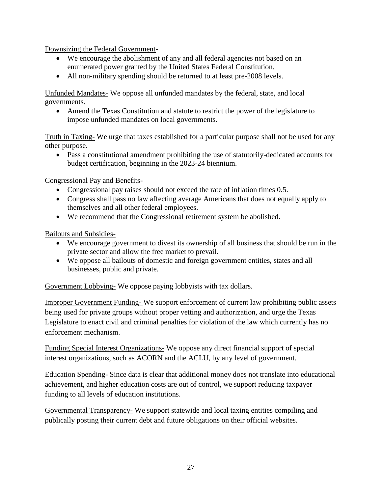Downsizing the Federal Government-

- We encourage the abolishment of any and all federal agencies not based on an enumerated power granted by the United States Federal Constitution.
- All non-military spending should be returned to at least pre-2008 levels.

Unfunded Mandates- We oppose all unfunded mandates by the federal, state, and local governments.

 Amend the Texas Constitution and statute to restrict the power of the legislature to impose unfunded mandates on local governments.

Truth in Taxing- We urge that taxes established for a particular purpose shall not be used for any other purpose.

 Pass a constitutional amendment prohibiting the use of statutorily-dedicated accounts for budget certification, beginning in the 2023-24 biennium.

Congressional Pay and Benefits-

- Congressional pay raises should not exceed the rate of inflation times 0.5.
- Congress shall pass no law affecting average Americans that does not equally apply to themselves and all other federal employees.
- We recommend that the Congressional retirement system be abolished.

Bailouts and Subsidies-

- We encourage government to divest its ownership of all business that should be run in the private sector and allow the free market to prevail.
- We oppose all bailouts of domestic and foreign government entities, states and all businesses, public and private.

Government Lobbying- We oppose paying lobbyists with tax dollars.

Improper Government Funding- We support enforcement of current law prohibiting public assets being used for private groups without proper vetting and authorization, and urge the Texas Legislature to enact civil and criminal penalties for violation of the law which currently has no enforcement mechanism.

Funding Special Interest Organizations- We oppose any direct financial support of special interest organizations, such as ACORN and the ACLU, by any level of government.

Education Spending- Since data is clear that additional money does not translate into educational achievement, and higher education costs are out of control, we support reducing taxpayer funding to all levels of education institutions.

Governmental Transparency- We support statewide and local taxing entities compiling and publically posting their current debt and future obligations on their official websites.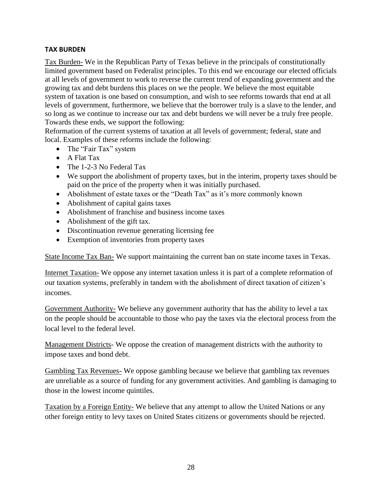## <span id="page-27-0"></span>**TAX BURDEN**

Tax Burden- We in the Republican Party of Texas believe in the principals of constitutionally limited government based on Federalist principles. To this end we encourage our elected officials at all levels of government to work to reverse the current trend of expanding government and the growing tax and debt burdens this places on we the people. We believe the most equitable system of taxation is one based on consumption, and wish to see reforms towards that end at all levels of government, furthermore, we believe that the borrower truly is a slave to the lender, and so long as we continue to increase our tax and debt burdens we will never be a truly free people. Towards these ends, we support the following:

Reformation of the current systems of taxation at all levels of government; federal, state and local. Examples of these reforms include the following:

- The "Fair Tax" system
- A Flat Tax
- The 1-2-3 No Federal Tax
- We support the abolishment of property taxes, but in the interim, property taxes should be paid on the price of the property when it was initially purchased.
- Abolishment of estate taxes or the "Death Tax" as it's more commonly known
- Abolishment of capital gains taxes
- Abolishment of franchise and business income taxes
- Abolishment of the gift tax.
- Discontinuation revenue generating licensing fee
- Exemption of inventories from property taxes

State Income Tax Ban- We support maintaining the current ban on state income taxes in Texas.

Internet Taxation- We oppose any internet taxation unless it is part of a complete reformation of our taxation systems, preferably in tandem with the abolishment of direct taxation of citizen's incomes.

Government Authority- We believe any government authority that has the ability to level a tax on the people should be accountable to those who pay the taxes via the electoral process from the local level to the federal level.

Management Districts- We oppose the creation of management districts with the authority to impose taxes and bond debt.

Gambling Tax Revenues- We oppose gambling because we believe that gambling tax revenues are unreliable as a source of funding for any government activities. And gambling is damaging to those in the lowest income quintiles.

Taxation by a Foreign Entity- We believe that any attempt to allow the United Nations or any other foreign entity to levy taxes on United States citizens or governments should be rejected.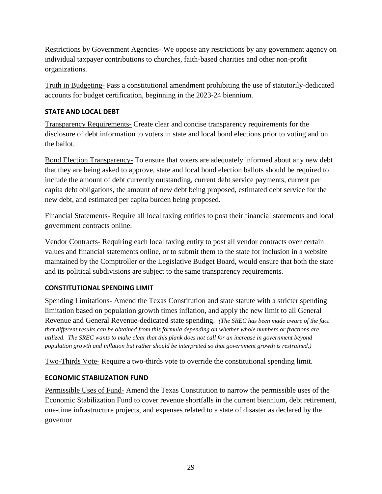Restrictions by Government Agencies- We oppose any restrictions by any government agency on individual taxpayer contributions to churches, faith-based charities and other non-profit organizations.

Truth in Budgeting- Pass a constitutional amendment prohibiting the use of statutorily-dedicated accounts for budget certification, beginning in the 2023-24 biennium.

## <span id="page-28-0"></span>**STATE AND LOCAL DEBT**

Transparency Requirements- Create clear and concise transparency requirements for the disclosure of debt information to voters in state and local bond elections prior to voting and on the ballot.

Bond Election Transparency- To ensure that voters are adequately informed about any new debt that they are being asked to approve, state and local bond election ballots should be required to include the amount of debt currently outstanding, current debt service payments, current per capita debt obligations, the amount of new debt being proposed, estimated debt service for the new debt, and estimated per capita burden being proposed.

Financial Statements- Require all local taxing entities to post their financial statements and local government contracts online.

Vendor Contracts- Requiring each local taxing entity to post all vendor contracts over certain values and financial statements online, or to submit them to the state for inclusion in a website maintained by the Comptroller or the Legislative Budget Board, would ensure that both the state and its political subdivisions are subject to the same transparency requirements.

## <span id="page-28-1"></span>**CONSTITUTIONAL SPENDING LIMIT**

Spending Limitations- Amend the Texas Constitution and state statute with a stricter spending limitation based on population growth times inflation, and apply the new limit to all General Revenue and General Revenue-dedicated state spending. *(The SREC has been made aware of the fact that different results can be obtained from this formula depending on whether whole numbers or fractions are utilized. The SREC wants to make clear that this plank does not call for an increase in government beyond population growth and inflation but rather should be interpreted so that government growth is restrained.)*

Two-Thirds Vote- Require a two-thirds vote to override the constitutional spending limit.

## <span id="page-28-2"></span>**ECONOMIC STABILIZATION FUND**

Permissible Uses of Fund- Amend the Texas Constitution to narrow the permissible uses of the Economic Stabilization Fund to cover revenue shortfalls in the current biennium, debt retirement, one-time infrastructure projects, and expenses related to a state of disaster as declared by the governor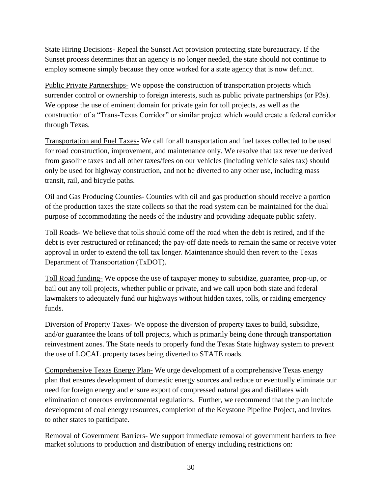State Hiring Decisions- Repeal the Sunset Act provision protecting state bureaucracy. If the Sunset process determines that an agency is no longer needed, the state should not continue to employ someone simply because they once worked for a state agency that is now defunct.

Public Private Partnerships- We oppose the construction of transportation projects which surrender control or ownership to foreign interests, such as public private partnerships (or P3s). We oppose the use of eminent domain for private gain for toll projects, as well as the construction of a "Trans-Texas Corridor" or similar project which would create a federal corridor through Texas.

Transportation and Fuel Taxes- We call for all transportation and fuel taxes collected to be used for road construction, improvement, and maintenance only. We resolve that tax revenue derived from gasoline taxes and all other taxes/fees on our vehicles (including vehicle sales tax) should only be used for highway construction, and not be diverted to any other use, including mass transit, rail, and bicycle paths.

Oil and Gas Producing Counties- Counties with oil and gas production should receive a portion of the production taxes the state collects so that the road system can be maintained for the dual purpose of accommodating the needs of the industry and providing adequate public safety.

Toll Roads- We believe that tolls should come off the road when the debt is retired, and if the debt is ever restructured or refinanced; the pay-off date needs to remain the same or receive voter approval in order to extend the toll tax longer. Maintenance should then revert to the Texas Department of Transportation (TxDOT).

Toll Road funding- We oppose the use of taxpayer money to subsidize, guarantee, prop-up, or bail out any toll projects, whether public or private, and we call upon both state and federal lawmakers to adequately fund our highways without hidden taxes, tolls, or raiding emergency funds.

Diversion of Property Taxes- We oppose the diversion of property taxes to build, subsidize, and/or guarantee the loans of toll projects, which is primarily being done through transportation reinvestment zones. The State needs to properly fund the Texas State highway system to prevent the use of LOCAL property taxes being diverted to STATE roads.

Comprehensive Texas Energy Plan- We urge development of a comprehensive Texas energy plan that ensures development of domestic energy sources and reduce or eventually eliminate our need for foreign energy and ensure export of compressed natural gas and distillates with elimination of onerous environmental regulations. Further, we recommend that the plan include development of coal energy resources, completion of the Keystone Pipeline Project, and invites to other states to participate.

Removal of Government Barriers- We support immediate removal of government barriers to free market solutions to production and distribution of energy including restrictions on: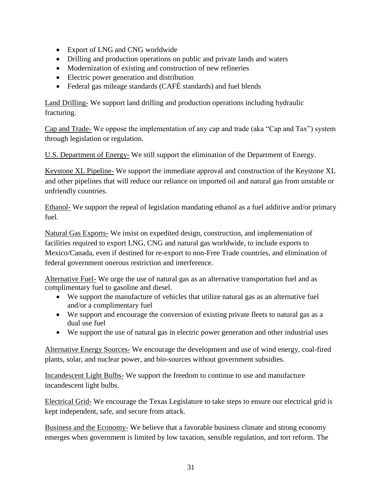- Export of LNG and CNG worldwide
- Drilling and production operations on public and private lands and waters
- Modernization of existing and construction of new refineries
- Electric power generation and distribution
- Federal gas mileage standards (CAFÉ standards) and fuel blends

Land Drilling- We support land drilling and production operations including hydraulic fracturing.

Cap and Trade- We oppose the implementation of any cap and trade (aka "Cap and Tax") system through legislation or regulation.

U.S. Department of Energy- We still support the elimination of the Department of Energy.

Keystone XL Pipeline- We support the immediate approval and construction of the Keystone XL and other pipelines that will reduce our reliance on imported oil and natural gas from unstable or unfriendly countries.

Ethanol- We support the repeal of legislation mandating ethanol as a fuel additive and/or primary fuel.

Natural Gas Exports- We insist on expedited design, construction, and implementation of facilities required to export LNG, CNG and natural gas worldwide, to include exports to Mexico/Canada, even if destined for re-export to non-Free Trade countries, and elimination of federal government onerous restriction and interference.

Alternative Fuel- We urge the use of natural gas as an alternative transportation fuel and as complimentary fuel to gasoline and diesel.

- We support the manufacture of vehicles that utilize natural gas as an alternative fuel and/or a complimentary fuel
- We support and encourage the conversion of existing private fleets to natural gas as a dual use fuel
- We support the use of natural gas in electric power generation and other industrial uses

Alternative Energy Sources- We encourage the development and use of wind energy, coal-fired plants, solar, and nuclear power, and bio-sources without government subsidies.

Incandescent Light Bulbs- We support the freedom to continue to use and manufacture incandescent light bulbs.

Electrical Grid- We encourage the Texas Legislature to take steps to ensure our electrical grid is kept independent, safe, and secure from attack.

Business and the Economy- We believe that a favorable business climate and strong economy emerges when government is limited by low taxation, sensible regulation, and tort reform. The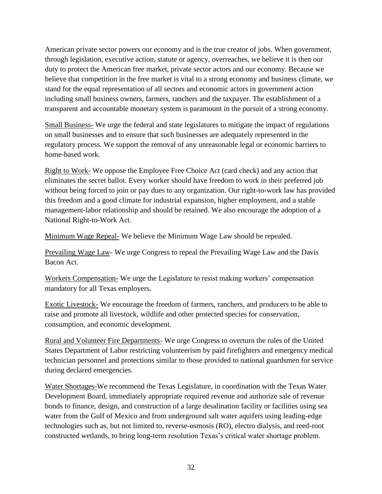American private sector powers our economy and is the true creator of jobs. When government, through legislation, executive action, statute or agency, overreaches, we believe it is then our duty to protect the American free market, private sector actors and our economy. Because we believe that competition in the free market is vital to a strong economy and business climate, we stand for the equal representation of all sectors and economic actors in government action including small business owners, farmers, ranchers and the taxpayer. The establishment of a transparent and accountable monetary system is paramount in the pursuit of a strong economy.

Small Business- We urge the federal and state legislatures to mitigate the impact of regulations on small businesses and to ensure that such businesses are adequately represented in the regulatory process. We support the removal of any unreasonable legal or economic barriers to home-based work.

Right to Work- We oppose the Employee Free Choice Act (card check) and any action that eliminates the secret ballot. Every worker should have freedom to work in their preferred job without being forced to join or pay dues to any organization. Our right-to-work law has provided this freedom and a good climate for industrial expansion, higher employment, and a stable management-labor relationship and should be retained. We also encourage the adoption of a National Right-to-Work Act.

Minimum Wage Repeal- We believe the Minimum Wage Law should be repealed.

Prevailing Wage Law- We urge Congress to repeal the Prevailing Wage Law and the Davis Bacon Act.

Workers Compensation- We urge the Legislature to resist making workers' compensation mandatory for all Texas employers.

Exotic Livestock- We encourage the freedom of farmers, ranchers, and producers to be able to raise and promote all livestock, wildlife and other protected species for conservation, consumption, and economic development.

Rural and Volunteer Fire Departments- We urge Congress to overturn the rules of the United States Department of Labor restricting volunteerism by paid firefighters and emergency medical technician personnel and protections similar to those provided to national guardsmen for service during declared emergencies.

Water Shortages-We recommend the Texas Legislature, in coordination with the Texas Water Development Board, immediately appropriate required revenue and authorize sale of revenue bonds to finance, design, and construction of a large desalination facility or facilities using sea water from the Gulf of Mexico and from underground salt water aquifers using leading-edge technologies such as, but not limited to, reverse-osmosis (RO), electro dialysis, and reed-root constructed wetlands, to bring long-term resolution Texas's critical water shortage problem.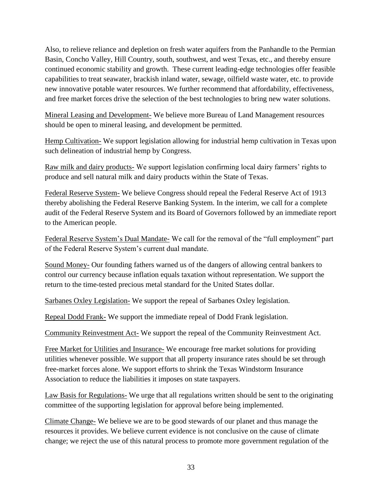Also, to relieve reliance and depletion on fresh water aquifers from the Panhandle to the Permian Basin, Concho Valley, Hill Country, south, southwest, and west Texas, etc., and thereby ensure continued economic stability and growth. These current leading-edge technologies offer feasible capabilities to treat seawater, brackish inland water, sewage, oilfield waste water, etc. to provide new innovative potable water resources. We further recommend that affordability, effectiveness, and free market forces drive the selection of the best technologies to bring new water solutions.

Mineral Leasing and Development- We believe more Bureau of Land Management resources should be open to mineral leasing, and development be permitted.

Hemp Cultivation- We support legislation allowing for industrial hemp cultivation in Texas upon such delineation of industrial hemp by Congress.

Raw milk and dairy products- We support legislation confirming local dairy farmers' rights to produce and sell natural milk and dairy products within the State of Texas.

Federal Reserve System- We believe Congress should repeal the Federal Reserve Act of 1913 thereby abolishing the Federal Reserve Banking System. In the interim, we call for a complete audit of the Federal Reserve System and its Board of Governors followed by an immediate report to the American people.

Federal Reserve System's Dual Mandate- We call for the removal of the "full employment" part of the Federal Reserve System's current dual mandate.

Sound Money- Our founding fathers warned us of the dangers of allowing central bankers to control our currency because inflation equals taxation without representation. We support the return to the time-tested precious metal standard for the United States dollar.

Sarbanes Oxley Legislation- We support the repeal of Sarbanes Oxley legislation.

Repeal Dodd Frank- We support the immediate repeal of Dodd Frank legislation.

Community Reinvestment Act- We support the repeal of the Community Reinvestment Act.

Free Market for Utilities and Insurance- We encourage free market solutions for providing utilities whenever possible. We support that all property insurance rates should be set through free-market forces alone. We support efforts to shrink the Texas Windstorm Insurance Association to reduce the liabilities it imposes on state taxpayers.

Law Basis for Regulations- We urge that all regulations written should be sent to the originating committee of the supporting legislation for approval before being implemented.

Climate Change- We believe we are to be good stewards of our planet and thus manage the resources it provides. We believe current evidence is not conclusive on the cause of climate change; we reject the use of this natural process to promote more government regulation of the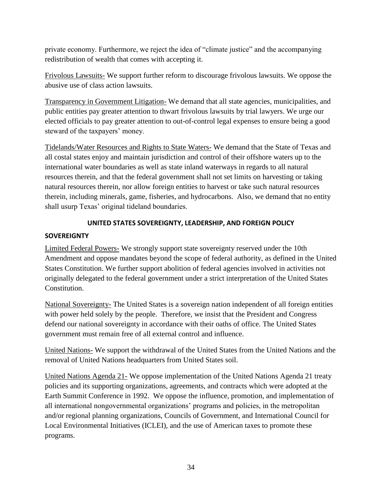private economy. Furthermore, we reject the idea of "climate justice" and the accompanying redistribution of wealth that comes with accepting it.

Frivolous Lawsuits- We support further reform to discourage frivolous lawsuits. We oppose the abusive use of class action lawsuits.

Transparency in Government Litigation- We demand that all state agencies, municipalities, and public entities pay greater attention to thwart frivolous lawsuits by trial lawyers. We urge our elected officials to pay greater attention to out-of-control legal expenses to ensure being a good steward of the taxpayers' money.

Tidelands/Water Resources and Rights to State Waters- We demand that the State of Texas and all costal states enjoy and maintain jurisdiction and control of their offshore waters up to the international water boundaries as well as state inland waterways in regards to all natural resources therein, and that the federal government shall not set limits on harvesting or taking natural resources therein, nor allow foreign entities to harvest or take such natural resources therein, including minerals, game, fisheries, and hydrocarbons. Also, we demand that no entity shall usurp Texas' original tideland boundaries.

## **UNITED STATES SOVEREIGNTY, LEADERSHIP, AND FOREIGN POLICY**

#### <span id="page-33-1"></span><span id="page-33-0"></span>**SOVEREIGNTY**

Limited Federal Powers- We strongly support state sovereignty reserved under the 10th Amendment and oppose mandates beyond the scope of federal authority, as defined in the United States Constitution. We further support abolition of federal agencies involved in activities not originally delegated to the federal government under a strict interpretation of the United States Constitution.

National Sovereignty- The United States is a sovereign nation independent of all foreign entities with power held solely by the people. Therefore, we insist that the President and Congress defend our national sovereignty in accordance with their oaths of office. The United States government must remain free of all external control and influence.

United Nations- We support the withdrawal of the United States from the United Nations and the removal of United Nations headquarters from United States soil.

United Nations Agenda 21- We oppose implementation of the United Nations Agenda 21 treaty policies and its supporting organizations, agreements, and contracts which were adopted at the Earth Summit Conference in 1992. We oppose the influence, promotion, and implementation of all international nongovernmental organizations' programs and policies, in the metropolitan and/or regional planning organizations, Councils of Government, and International Council for Local Environmental Initiatives (ICLEI), and the use of American taxes to promote these programs.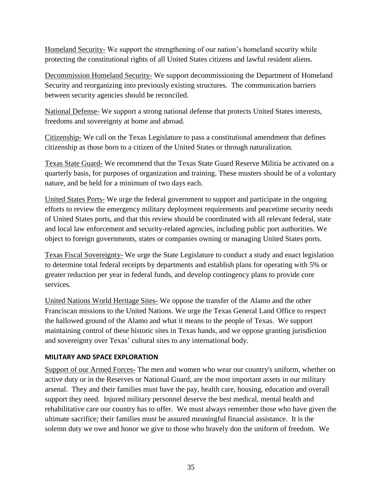Homeland Security- We support the strengthening of our nation's homeland security while protecting the constitutional rights of all United States citizens and lawful resident aliens.

Decommission Homeland Security- We support decommissioning the Department of Homeland Security and reorganizing into previously existing structures. The communication barriers between security agencies should be reconciled.

National Defense- We support a strong national defense that protects United States interests, freedoms and sovereignty at home and abroad.

Citizenship- We call on the Texas Legislature to pass a constitutional amendment that defines citizenship as those born to a citizen of the United States or through naturalization.

Texas State Guard- We recommend that the Texas State Guard Reserve Militia be activated on a quarterly basis, for purposes of organization and training. These musters should be of a voluntary nature, and be held for a minimum of two days each.

United States Ports- We urge the federal government to support and participate in the ongoing efforts to review the emergency military deployment requirements and peacetime security needs of United States ports, and that this review should be coordinated with all relevant federal, state and local law enforcement and security-related agencies, including public port authorities. We object to foreign governments, states or companies owning or managing United States ports.

Texas Fiscal Sovereignty- We urge the State Legislature to conduct a study and enact legislation to determine total federal receipts by departments and establish plans for operating with 5% or greater reduction per year in federal funds, and develop contingency plans to provide core services.

United Nations World Heritage Sites- We oppose the transfer of the Alamo and the other Franciscan missions to the United Nations. We urge the Texas General Land Office to respect the hallowed ground of the Alamo and what it means to the people of Texas. We support maintaining control of these historic sites in Texas hands, and we oppose granting jurisdiction and sovereignty over Texas' cultural sites to any international body.

#### <span id="page-34-0"></span>**MILITARY AND SPACE EXPLORATION**

Support of our Armed Forces- The men and women who wear our country's uniform, whether on active duty or in the Reserves or National Guard, are the most important assets in our military arsenal. They and their families must have the pay, health care, housing, education and overall support they need. Injured military personnel deserve the best medical, mental health and rehabilitative care our country has to offer. We must always remember those who have given the ultimate sacrifice; their families must be assured meaningful financial assistance. It is the solemn duty we owe and honor we give to those who bravely don the uniform of freedom. We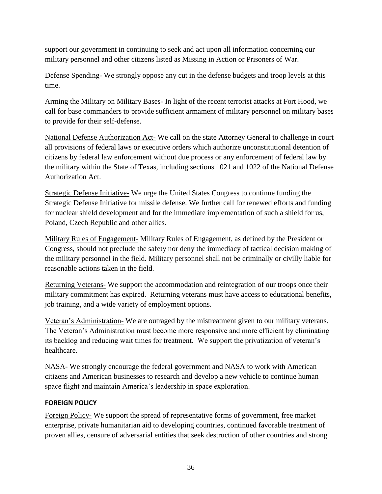support our government in continuing to seek and act upon all information concerning our military personnel and other citizens listed as Missing in Action or Prisoners of War.

Defense Spending- We strongly oppose any cut in the defense budgets and troop levels at this time.

Arming the Military on Military Bases- In light of the recent terrorist attacks at Fort Hood, we call for base commanders to provide sufficient armament of military personnel on military bases to provide for their self-defense.

National Defense Authorization Act- We call on the state Attorney General to challenge in court all provisions of federal laws or executive orders which authorize unconstitutional detention of citizens by federal law enforcement without due process or any enforcement of federal law by the military within the State of Texas, including sections 1021 and 1022 of the National Defense Authorization Act.

Strategic Defense Initiative- We urge the United States Congress to continue funding the Strategic Defense Initiative for missile defense. We further call for renewed efforts and funding for nuclear shield development and for the immediate implementation of such a shield for us, Poland, Czech Republic and other allies.

Military Rules of Engagement- Military Rules of Engagement, as defined by the President or Congress, should not preclude the safety nor deny the immediacy of tactical decision making of the military personnel in the field. Military personnel shall not be criminally or civilly liable for reasonable actions taken in the field.

Returning Veterans- We support the accommodation and reintegration of our troops once their military commitment has expired. Returning veterans must have access to educational benefits, job training, and a wide variety of employment options.

Veteran's Administration- We are outraged by the mistreatment given to our military veterans. The Veteran's Administration must become more responsive and more efficient by eliminating its backlog and reducing wait times for treatment. We support the privatization of veteran's healthcare.

NASA- We strongly encourage the federal government and NASA to work with American citizens and American businesses to research and develop a new vehicle to continue human space flight and maintain America's leadership in space exploration.

#### <span id="page-35-0"></span>**FOREIGN POLICY**

Foreign Policy- We support the spread of representative forms of government, free market enterprise, private humanitarian aid to developing countries, continued favorable treatment of proven allies, censure of adversarial entities that seek destruction of other countries and strong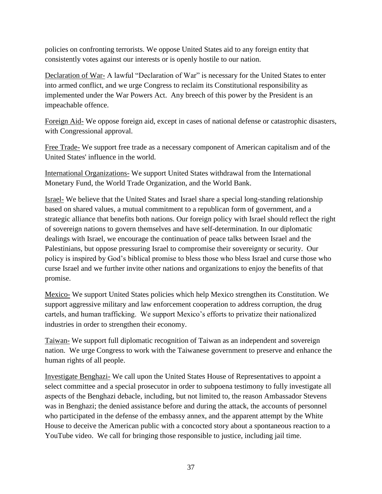policies on confronting terrorists. We oppose United States aid to any foreign entity that consistently votes against our interests or is openly hostile to our nation.

Declaration of War- A lawful "Declaration of War" is necessary for the United States to enter into armed conflict, and we urge Congress to reclaim its Constitutional responsibility as implemented under the War Powers Act. Any breech of this power by the President is an impeachable offence.

Foreign Aid- We oppose foreign aid, except in cases of national defense or catastrophic disasters, with Congressional approval.

Free Trade- We support free trade as a necessary component of American capitalism and of the United States' influence in the world.

International Organizations- We support United States withdrawal from the International Monetary Fund, the World Trade Organization, and the World Bank.

Israel- We believe that the United States and Israel share a special long-standing relationship based on shared values, a mutual commitment to a republican form of government, and a strategic alliance that benefits both nations. Our foreign policy with Israel should reflect the right of sovereign nations to govern themselves and have self-determination. In our diplomatic dealings with Israel, we encourage the continuation of peace talks between Israel and the Palestinians, but oppose pressuring Israel to compromise their sovereignty or security. Our policy is inspired by God's biblical promise to bless those who bless Israel and curse those who curse Israel and we further invite other nations and organizations to enjoy the benefits of that promise.

Mexico- We support United States policies which help Mexico strengthen its Constitution. We support aggressive military and law enforcement cooperation to address corruption, the drug cartels, and human trafficking. We support Mexico's efforts to privatize their nationalized industries in order to strengthen their economy.

Taiwan- We support full diplomatic recognition of Taiwan as an independent and sovereign nation. We urge Congress to work with the Taiwanese government to preserve and enhance the human rights of all people.

Investigate Benghazi- We call upon the United States House of Representatives to appoint a select committee and a special prosecutor in order to subpoena testimony to fully investigate all aspects of the Benghazi debacle, including, but not limited to, the reason Ambassador Stevens was in Benghazi; the denied assistance before and during the attack, the accounts of personnel who participated in the defense of the embassy annex, and the apparent attempt by the White House to deceive the American public with a concocted story about a spontaneous reaction to a YouTube video. We call for bringing those responsible to justice, including jail time.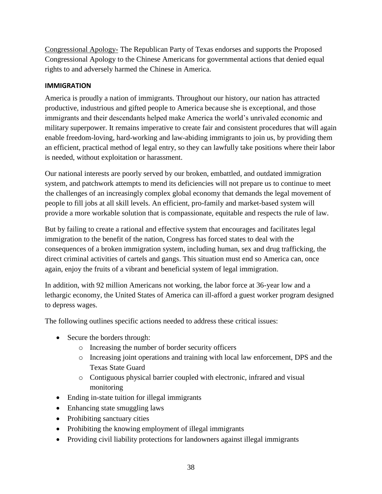Congressional Apology- The Republican Party of Texas endorses and supports the Proposed Congressional Apology to the Chinese Americans for governmental actions that denied equal rights to and adversely harmed the Chinese in America.

## <span id="page-37-0"></span>**IMMIGRATION**

America is proudly a nation of immigrants. Throughout our history, our nation has attracted productive, industrious and gifted people to America because she is exceptional, and those immigrants and their descendants helped make America the world's unrivaled economic and military superpower. It remains imperative to create fair and consistent procedures that will again enable freedom-loving, hard-working and law-abiding immigrants to join us, by providing them an efficient, practical method of legal entry, so they can lawfully take positions where their labor is needed, without exploitation or harassment.

Our national interests are poorly served by our broken, embattled, and outdated immigration system, and patchwork attempts to mend its deficiencies will not prepare us to continue to meet the challenges of an increasingly complex global economy that demands the legal movement of people to fill jobs at all skill levels. An efficient, pro-family and market-based system will provide a more workable solution that is compassionate, equitable and respects the rule of law.

But by failing to create a rational and effective system that encourages and facilitates legal immigration to the benefit of the nation, Congress has forced states to deal with the consequences of a broken immigration system, including human, sex and drug trafficking, the direct criminal activities of cartels and gangs. This situation must end so America can, once again, enjoy the fruits of a vibrant and beneficial system of legal immigration.

In addition, with 92 million Americans not working, the labor force at 36-year low and a lethargic economy, the United States of America can ill-afford a guest worker program designed to depress wages.

The following outlines specific actions needed to address these critical issues:

- Secure the borders through:
	- o Increasing the number of border security officers
	- o Increasing joint operations and training with local law enforcement, DPS and the Texas State Guard
	- o Contiguous physical barrier coupled with electronic, infrared and visual monitoring
- Ending in-state tuition for illegal immigrants
- Enhancing state smuggling laws
- Prohibiting sanctuary cities
- Prohibiting the knowing employment of illegal immigrants
- Providing civil liability protections for landowners against illegal immigrants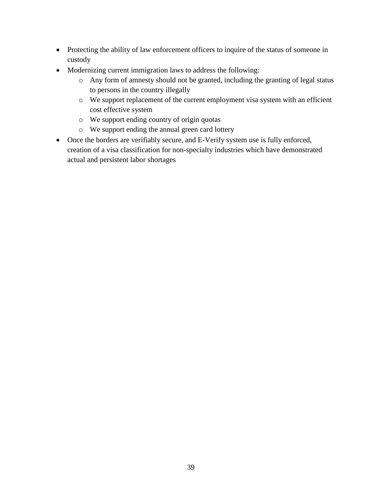- Protecting the ability of law enforcement officers to inquire of the status of someone in custody
- Modernizing current immigration laws to address the following:
	- o Any form of amnesty should not be granted, including the granting of legal status to persons in the country illegally
	- o We support replacement of the current employment visa system with an efficient cost effective system
	- o We support ending country of origin quotas
	- o We support ending the annual green card lottery
- Once the borders are verifiably secure, and E-Verify system use is fully enforced, creation of a visa classification for non-specialty industries which have demonstrated actual and persistent labor shortages